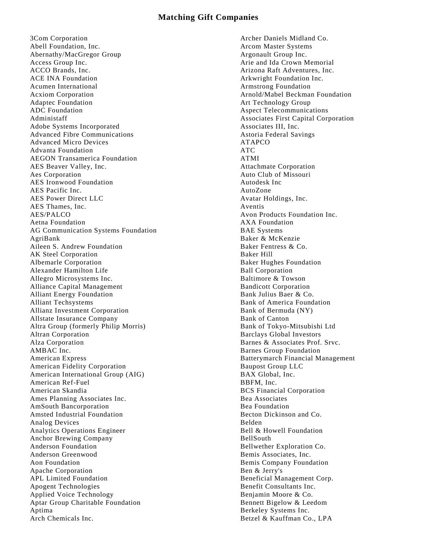## **Matching Gift Companies**

3Com Corporation Abell Foundation, Inc. Abernathy/MacGregor Group Access Group Inc. ACCO Brands, Inc. ACE INA Foundation Acumen International Acxiom Corporation Adaptec Foundation ADC Foundation Administaff Adobe Systems Incorporated Advanced Fibre Communications Advanced Micro Devices Advanta Foundation AEGON Transamerica Foundation AES Beaver Valley, Inc. Aes Corporation AES Ironwood Foundation AES Pacific Inc. AES Power Direct LLC AES Thames, Inc. AES/PALCO Aetna Foundation AG Communication Systems Foundation AgriBank Aileen S. Andrew Foundation AK Steel Corporation Albemarle Corporation Alexander Hamilton Life Allegro Microsystems Inc. Alliance Capital Management Alliant Energy Foundation Alliant Techsystems Allianz Investment Corporation Allstate Insurance Company Altra Group (formerly Philip Morris) Altran Corporation Alza Corporation AMBAC Inc. American Express American Fidelity Corporation American International Group (AIG) American Ref-Fuel American Skandia Ames Planning Associates Inc. AmSouth Bancorporation Amsted Industrial Foundation Analog Devices Analytics Operations Engineer Anchor Brewing Company Anderson Foundation Anderson Greenwood Aon Foundation Apache Corporation APL Limited Foundation Apogent Technologies Applied Voice Technology Aptar Group Charitable Foundation Aptima Arch Chemicals Inc.

Archer Daniels Midland Co. Arcom Master Systems Argonault Group Inc. Arie and Ida Crown Memorial Arizona Raft Adventures, Inc. Arkwright Foundation Inc. Armstrong Foundation Arnold/Mabel Beckman Foundation Art Technology Group Aspect Telecommunications Associates First Capital Corporation Associates III, Inc. Astoria Federal Savings ATAPCO ATC ATMI Attachmate Corporation Auto Club of Missouri Autodesk Inc AutoZone Avatar Holdings, Inc. Aventis Avon Products Foundation Inc. AXA Foundation BAE Systems Baker & McKenzie Baker Fentress & Co. Baker Hill Baker Hughes Foundation Ball Corporation Baltimore & Towson Bandicott Corporation Bank Julius Baer & Co. Bank of America Foundation Bank of Bermuda (NY) Bank of Canton Bank of Tokyo-Mitsubishi Ltd Barclays Global Investors Barnes & Associates Prof. Srvc. Barnes Group Foundation Batterymarch Financial Management Baupost Group LLC BAX Global, Inc. BBFM, Inc. BCS Financial Corporation Bea Associates Bea Foundation Becton Dickinson and Co. Belden Bell & Howell Foundation BellSouth Bellwether Exploration Co. Bemis Associates, Inc. Bemis Company Foundation Ben & Jerry's Beneficial Management Corp. Benefit Consultants Inc. Benjamin Moore & Co. Bennett Bigelow & Leedom Berkeley Systems Inc. Betzel & Kauffman Co., LPA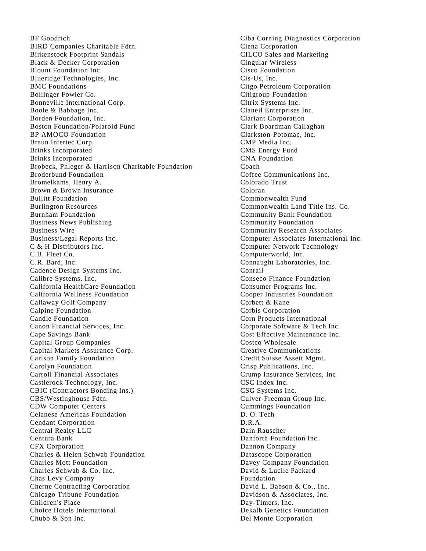BF Goodrich BIRD Companies Charitable Fdtn. Birkenstock Footprint Sandals Black & Decker Corporation Blount Foundation Inc. Blueridge Technologies, Inc. BMC Foundations Bollinger Fowler Co. Bonneville International Corp. Boole & Babbage Inc. Borden Foundation, Inc. Boston Foundation/Polaroid Fund BP AMOCO Foundation Braun Intertec Corp. Brinks Incorporated Brinks Incorporated Brobeck, Phleger & Harrison Charitable Foundation Broderbund Foundation Bromelkams, Henry A. Brown & Brown Insurance Bullitt Foundation Burlington Resources Burnham Foundation Business News Publishing Business Wire Business/Legal Reports Inc. C & H Distributors Inc. C.B. Fleet Co. C.R. Bard, Inc. Cadence Design Systems Inc. Calibre Systems, Inc. California HealthCare Foundation California Wellness Foundation Callaway Golf Company Calpine Foundation Candle Foundation Canon Financial Services, Inc. Cape Savings Bank Capital Group Companies Capital Markets Assurance Corp. Carlson Family Foundation Carolyn Foundation Carroll Financial Associates Castlerock Technology, Inc. CBIC (Contractors Bonding Ins.) CBS/Westinghouse Fdtn. CDW Computer Centers Celanese Americas Foundation Cendant Corporation Central Realty LLC Centura Bank CFX Corporation Charles & Helen Schwab Foundation Charles Mott Foundation Charles Schwab & Co. Inc. Chas Levy Company Cherne Contracting Corporation Chicago Tribune Foundation Children's Place Choice Hotels International Chubb & Son Inc.

Ciba Corning Diagnostics Corporation Ciena Corporation CILCO Sales and Marketing Cingular Wireless Cisco Foundation Cis-Us, Inc. Citgo Petroleum Corporation Citigroup Foundation Citrix Systems Inc. Claneil Enterprises Inc. Clariant Corporation Clark Boardman Callaghan Clarkston-Potomac, Inc. CMP Media Inc. CMS Energy Fund CNA Foundation Coach Coffee Communications Inc. Colorado Trust Coloran Commonwealth Fund Commonwealth Land Title Ins. Co. Community Bank Foundation Community Foundation Community Research Associates Computer Associates International Inc. Computer Network Technology Computerworld, Inc. Connaught Laboratories, Inc. Conrail Conseco Finance Foundation Consumer Programs Inc. Cooper Industries Foundation Corbett & Kane Corbis Corporation Corn Products International Corporate Software & Tech Inc. Cost Effective Maintenance Inc. Costco Wholesale Creative Communications Credit Suisse Assett Mgmt. Crisp Publications, Inc. Crump Insurance Services, Inc CSC Index Inc. CSG Systems Inc. Culver-Freeman Group Inc. Cummings Foundation D. O. Tech D.R.A. Dain Rauscher Danforth Foundation Inc. Dannon Company Datascope Corporation Davey Company Foundation David & Lucile Packard Foundation David L. Babson & Co., Inc. Davidson & Associates, Inc. Day-Timers, Inc. Dekalb Genetics Foundation Del Monte Corporation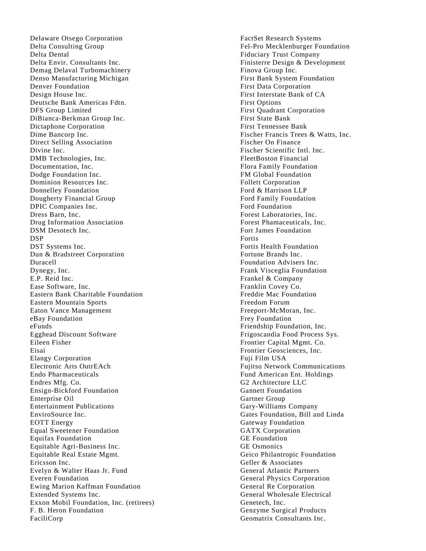Delaware Otsego Corporation Delta Consulting Group Delta Dental Delta Envir. Consultants Inc. Demag Delaval Turbomachinery Denso Manufacturing Michigan Denver Foundation Design House Inc. Deutsche Bank Americas Fdtn. DFS Group Limited DiBianca -Berkman Group Inc. Dictaphone Corporation Dime Bancorp Inc. Direct Selling Association Divine Inc. DMB Technologies, Inc. Documentation, Inc. Dodge Foundation Inc. Dominion Resources Inc. Donnelley Foundation Dougherty Financial Group DPIC Companies Inc. Dress Barn, Inc. Drug Information Association DSM Desotech Inc. DSP DST Systems Inc. Dun & Bradstreet Corporation Duracell Dynegy, Inc. E.P. Reid Inc. Ease Software, Inc. Eastern Bank Charitable Foundation Eastern Mountain Sports Eaton Vance Management eBay Foundation eFunds Egghead Discount Software Eileen Fisher Eisai Elangy Corporation Electronic Arts OutrEAch Endo Pharmaceuticals Endres Mfg. Co. Ensign -Bickford Foundation Enterprise Oil Entertainment Publications EnviroSource Inc. EOTT Energy Equal Sweetener Foundation Equifax Foundation Equitable Agri -Business Inc. Equitable Real Estate Mgmt. Ericsson Inc. Evelyn & Walter Haas Jr. Fund Everen Foundation Ewing Marion Kaffman Foundation Extended Systems Inc. Exxon Mobil Foundation, Inc. (retirees) F. B. Heron Foundation FaciliCorp

FactSet Research Systems Fel -Pro Mecklenburger Foundation Fiduciary Trust Company Finisterre Design & Development Finova Group Inc. First Bank System Foundation First Data Corporation First Interstate Bank of CA First Options First Quadrant Corporation First State Bank First Tennessee Bank Fischer Francis Trees & Watts, Inc. Fischer On Finance Fischer Scientific Intl. Inc. FleetBoston Financial Flora Family Foundation FM Global Foundation Follett Corporation Ford & Harrison LLP Ford Family Foundation Ford Foundation Forest Laboratories, Inc. Forest Phamaceuticals, Inc. Fort James Foundation Fortis Fortis Health Foundation Fortune Brands Inc. Foundation Advisers Inc. Frank Visceglia Foundation Frankel & Company Franklin Covey Co. Freddie Mac Foundation Freedom Forum Freeport -McMoran, Inc. Frey Foundation Friendship Foundation, Inc. Frigoscandia Food Process Sys. Frontier Capital Mgmt. Co. Frontier Geosciences, Inc. Fuji Film USA Fujitsu Network Communications Fund American Ent. Holdings G2 Architecture LLC Gannett Foundation Gartner Group Gary -Williams Company Gates Foundation, Bill and Linda Gateway Foundation GATX Corporation GE Foundation GE Osmonics Geico Philantropic Foundation Geller & Associates General Atlantic Partners General Physics Corporation General Re Corporation General Wholesale Electrical Genetech, Inc. Genzyme Surgical Products Geomatrix Consultants Inc.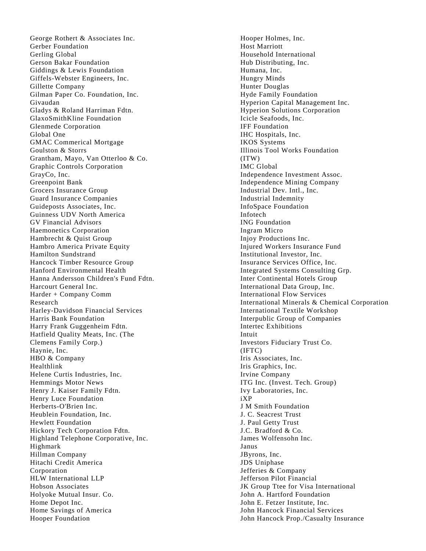George Rothert & Associates Inc. Gerber Foundation Gerling Global Gerson Bakar Foundation Giddings & Lewis Foundation Giffels -Webster Engineers, Inc. Gillette Company Gilman Paper Co. Foundation, Inc. Givaudan Gladys & Roland Harriman Fdtn. GlaxoSmithKline Foundation Glenmede Corporation Global One GMAC Commerical Mortgage Goulston & Storrs Grantham, Mayo, Van Otterloo & Co. Graphic Controls Corporation GrayCo, Inc. Greenpoint Bank Grocers Insurance Group Guard Insurance Companies Guideposts Associates, Inc. Guinness UDV North America GV Financial Advisors Haemonetics Corporation Hambrecht & Quist Group Hambro America Private Equity Hamilton Sundstrand Hancock Timber Resource Group Hanford Environmental Health Hanna Andersson Children's Fund Fdtn. Harcourt General Inc. Harder + Company Comm Research Harley -Davidson Financial Services Harris Bank Foundation Harry Frank Guggenheim Fdtn. Hatfield Quality Meats, Inc. (The Clemens Family Corp.) Haynie, Inc. HBO & Company Healthlink Helene Curtis Industries, Inc. Hemmings Motor News Henry J. Kaiser Family Fdtn. Henry Luce Foundation Herberts -O'Brien Inc. Heublein Foundation, Inc. Hewlett Foundation Hickory Tech Corporation Fdtn. Highland Telephone Corporative, Inc. Highmark Hillman Company Hitachi Credit America Corporation HLW International LLP Hobson Associates Holyoke Mutual Insur. Co. Home Depot Inc. Home Savings of America Hooper Foundation

Hooper Holmes, Inc. Host Marriott Household International Hub Distributing, Inc. Humana, Inc. Hungry Minds Hunter Douglas Hyde Family Foundation Hyperion Capital Management Inc. Hyperion Solutions Corporation Icicle Seafoods, Inc. IFF Foundation IHC Hospitals, Inc. IKOS Systems Illinois Tool Works Foundation (ITW) IMC Global Independence Investment Assoc. Independence Mining Company Industrial Dev. Intl., Inc. Industrial Indemnity InfoSpace Foundation Infotech ING Foundation Ingram Micro Injoy Productions Inc. Injured Workers Insurance Fund Institutional Investor, Inc. Insurance Services Office, Inc. Integrated Systems Consulting Grp. Inter Continental Hotels Group International Data Group, Inc. International Flow Services International Minerals & Chemical Corporation International Textile Workshop Interpublic Group of Companies Intertec Exhibitions Intuit Investors Fiduciary Trust Co. (IFTC) Iris Associates, Inc. Iris Graphics, Inc. Irvine Company ITG Inc. (Invest. Tech. Group) Ivy Laboratories, Inc. iXP J M Smith Foundation J. C. Seacrest Trust J. Paul Getty Trust J.C. Bradford & Co. James Wolfensohn Inc. Janus JByrons, Inc. JDS Uniphase Jefferies & Company Jefferson Pilot Financial JK Group Ttee for Visa International John A. Hartford Foundation John E. Fetzer Institute, Inc. John Hancock Financial Services John Hancock Prop./Casualty Insurance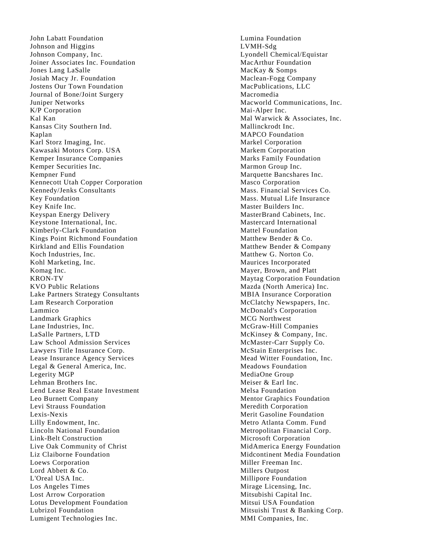John Labatt Foundation Johnson and Higgins Johnson Company, Inc. Joiner Associates Inc. Foundation Jones Lang LaSalle Josiah Macy Jr. Foundation Jostens Our Town Foundation Journal of Bone/Joint Surgery Juniper Networks K/P Corporation Kal Kan Kansas City Southern Ind. Kaplan Karl Storz Imaging, Inc. Kawasaki Motors Corp. USA Kemper Insurance Companies Kemper Securities Inc. Kempner Fund Kennecott Utah Copper Corporation Kennedy/Jenks Consultants Key Foundation Key Knife Inc. Keyspan Energy Delivery Keystone International, Inc. Kimberly -Clark Foundation Kings Point Richmond Foundation Kirkland and Ellis Foundation Koch Industries, Inc. Kohl Marketing, Inc. Komag Inc. KRON - TV KVO Public Relations Lake Partners Strategy Consultants Lam Research Corporation Lammico Landmark Graphics Lane Industries, Inc. LaSalle Partners, LTD Law School Admission Services Lawyers Title Insurance Corp. Lease Insurance Agency Services Legal & General America, Inc. Legerity MGP Lehman Brothers Inc. Lend Lease Real Estate Investment Leo Burnett Company Levi Strauss Foundation Lexis -Nexis Lilly Endowment, Inc. Lincoln National Foundation Link -Belt Construction Live Oak Community of Christ Liz Claiborne Foundation Loews Corporation Lord Abbett & Co. L'Oreal USA Inc. Los Angeles Times Lost Arrow Corporation Lotus Development Foundation Lubrizol Foundation Lumigent Technologies Inc.

Lumina Foundation LVMH -Sdg Lyondell Chemical/Equistar MacArthur Foundation MacKay & Somps Maclean -Fogg Company MacPublications, LLC Macromedia Macworld Communications, Inc. Mai -Alper Inc. Mal Warwick & Associates, Inc. Mallinckrodt Inc. MAPCO Foundation Markel Corporation Markem Corporation Marks Family Foundation Marmon Group Inc. Marquette Bancshares Inc. Masco Corporation Mass. Financial Services Co. Mass. Mutual Life Insurance Master Builders Inc. MasterBrand Cabinets, Inc. Mastercard International Mattel Foundation Matthew Bender & Co. Matthew Bender & Company Matthew G. Norton Co. Maurices Incorporated Mayer, Brown, and Platt Maytag Corporation Foundation Mazda (North America) Inc. MBIA Insurance Corporation McClatchy Newspapers, Inc. McDonald's Corporation MCG Northwest McGraw -Hill Companies McKinsey & Company, Inc. McMaster -Carr Supply Co. McStain Enterprises Inc. Mead Witter Foundation, Inc. Meadows Foundation MediaOne Group Meiser & Earl Inc. Melsa Foundation Mentor Graphics Foundation Meredith Corporation Merit Gasoline Foundation Metro Atlanta Comm. Fund Metropolitan Financial Corp. Microsoft Corporation MidAmerica Energy Foundation Midcontinent Media Foundation Miller Freeman Inc. Millers Outpost Millipore Foundation Mirage Licensing, Inc. Mitsubishi Capital Inc. Mitsui USA Foundation Mitsuishi Trust & Banking Corp. MMI Companies, Inc.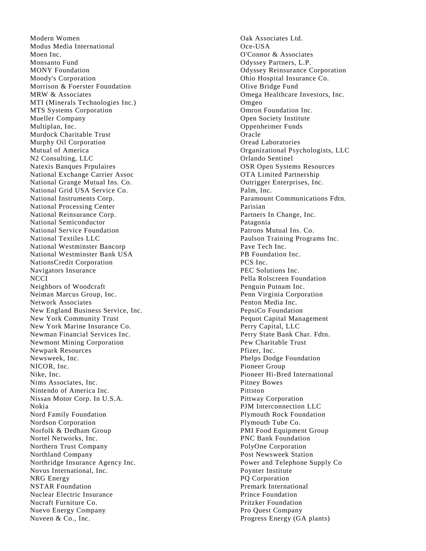Modern Women Modus Media International Moen Inc. Monsanto Fund MONY Foundation Moody's Corporation Morrison & Foerster Foundation MRW & Associates MTI (Minerals Technologies Inc.) MTS Systems Corporation Mueller Company Multiplan, Inc. Murdock Charitable Trust Murphy Oil Corporation Mutual of America N2 Consulting, LLC Natexis Banques Prpulaires National Exchange Carrier Assoc National Grange Mutual Ins. Co. National Grid USA Service Co. National Instruments Corp. National Processing Center National Reinsurance Corp. National Semiconductor National Service Foundation National Textiles LLC National Westminster Bancorp National Westminster Bank USA NationsCredit Corporation Navigators Insurance **NCCI** Neighbors of Woodcraft Neiman Marcus Group, Inc. Network Associates New England Business Service, Inc. New York Community Trust New York Marine Insurance Co. Newman Financial Services Inc. Newmont Mining Corporation Newpark Resources Newsweek, Inc. NICOR, Inc. Nike, Inc. Nims Associates, Inc. Nintendo of America Inc. Nissan Motor Corp. In U.S.A. Nokia Nord Family Foundation Nordson Corporation Norfolk & Dedham Group Nortel Networks, Inc. Northern Trust Company Northland Company Northridge Insurance Agency Inc. Novus International, Inc. NRG Energy NSTAR Foundation Nuclear Electric Insurance Nucraft Furniture Co. Nuevo Energy Company Nuveen & Co., Inc.

Oak Associates Ltd. Oce -USA O'Connor & Associates Odyssey Partners, L.P. Odyssey Reinsurance Corporation Ohio Hospital Insurance Co. Olive Bridge Fund Omega Healthcare Investors, Inc. Omgeo Omron Foundation Inc. Open Society Institute Oppenheimer Funds Oracle Oread Laboratories Organizational Psychologists, LLC Orlando Sentinel OSR Open Systems Resources OTA Limited Partnership Outrigger Enterprises, Inc. Palm, Inc. Paramount Communications Fdtn. Parisian Partners In Change, Inc. Patagonia Patrons Mutual Ins. Co. Paulson Training Programs Inc. Pave Tech Inc. PB Foundation Inc. PCS Inc. PEC Solutions Inc. Pella Rolscreen Foundation Penguin Putnam Inc. Penn Virginia Corporation Penton Media Inc. PepsiCo Foundation Pequot Capital Management Perry Capital, LLC Perry State Bank Char. Fdtn. Pew Charitable Trust Pfizer, Inc. Phelps Dodge Foundation Pioneer Group Pioneer Hi -Bred International Pitney Bowes Pittston Pittway Corporation PJM Interconnection LLC Plymouth Rock Foundation Plymouth Tube Co. PMI Food Equipment Group PNC Bank Foundation PolyOne Corporation Post Newsweek Station Power and Telephone Supply Co Poynter Institute PQ Corporation Premark International Prince Foundation Pritzker Foundation Pro Quest Company Progress Energy (GA plants)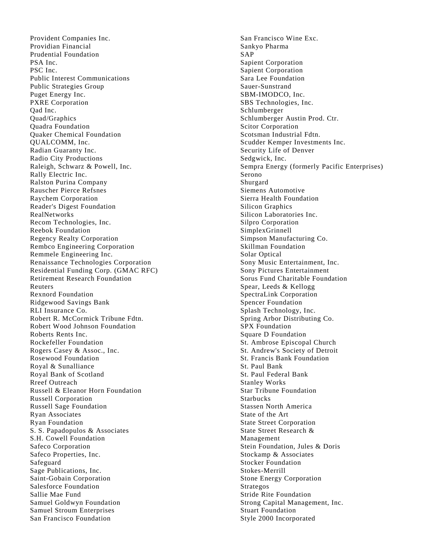Provident Companies Inc. Providian Financial Prudential Foundation PSA Inc. PSC Inc. Public Interest Communications Public Strategies Group Puget Energy Inc. PXRE Corporation Qad Inc. Quad/Graphics Quadra Foundation Quaker Chemical Foundation QUALCOMM, Inc. Radian Guaranty Inc. Radio City Productions Raleigh, Schwarz & Powell, Inc. Rally Electric Inc. Ralston Purina Company Rauscher Pierce Refsnes Raychem Corporation Reader's Digest Foundation RealNetworks Recom Technologies, Inc. Reebok Foundation Regency Realty Corporation Rembco Engineering Corporation Remmele Engineering Inc. Renaissance Technologies Corporation Residential Funding Corp. (GMAC RFC) Retirement Research Foundation Reuters Rexnord Foundation Ridgewood Savings Bank RLI Insurance Co. Robert R. McCormick Tribune Fdtn. Robert Wood Johnson Foundation Roberts Rents Inc. Rockefeller Foundation Rogers Casey & Assoc., Inc. Rosewood Foundation Royal & Sunalliance Royal Bank of Scotland Rreef Outreach Russell & Eleanor Horn Foundation Russell Corporation Russell Sage Foundation Ryan Associates Ryan Foundation S. S. Papadopulos & Associates S.H. Cowell Foundation Safeco Corporation Safeco Properties, Inc. Safeguard Sage Publications, Inc. Saint-Gobain Corporation Salesforce Foundation Sallie Mae Fund Samuel Goldwyn Foundation Samuel Stroum Enterprises San Francisco Foundation

San Francisco Wine Exc. Sankyo Pharma SAP Sapient Corporation Sapient Corporation Sara Lee Foundation Sauer-Sunstrand SBM-IMODCO, Inc. SBS Technologies, Inc. Schlumberger Schlumberger Austin Prod. Ctr. Scitor Corporation Scotsman Industrial Fdtn. Scudder Kemper Investments Inc. Security Life of Denver Sedgwick, Inc. Sempra Energy (formerly Pacific Enterprises) Serono Shurgard Siemens Automotive Sierra Health Foundation Silicon Graphics Silicon Laboratories Inc. Silpro Corporation SimplexGrinnell Simpson Manufacturing Co. Skillman Foundation Solar Optical Sony Music Entertainment, Inc. Sony Pictures Entertainment Sorus Fund Charitable Foundation Spear, Leeds & Kellogg SpectraLink Corporation Spencer Foundation Splash Technology, Inc. Spring Arbor Distributing Co. SPX Foundation Square D Foundation St. Ambrose Episcopal Church St. Andrew's Society of Detroit St. Francis Bank Foundation St. Paul Bank St. Paul Federal Bank Stanley Works Star Tribune Foundation Starbucks Stassen North America State of the Art State Street Corporation State Street Research & Management Stein Foundation, Jules & Doris Stockamp & Associates Stocker Foundation Stokes-Merrill Stone Energy Corporation Strategos Stride Rite Foundation Strong Capital Management, Inc. Stuart Foundation Style 2000 Incorporated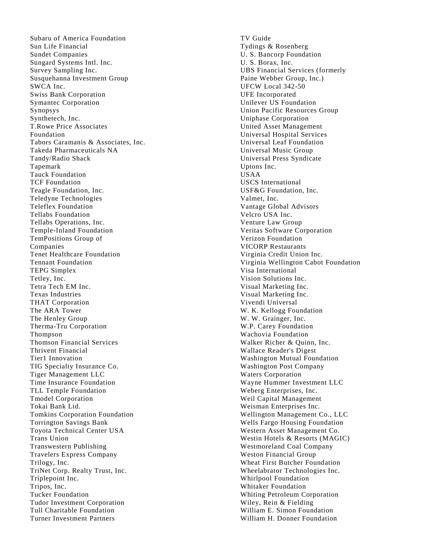Subaru of America Foundation Sun Life Financial Sundet Companies Sungard Systems Intl. Inc. Survey Sampling Inc. Susquehanna Investment Group SWCA Inc. Swiss Bank Corporation Symantec Corporation Synopsys Synthetech, Inc. T.Rowe Price Associates Foundation Tabors Caramanis & Associates, Inc. Takeda Pharmaceuticals NA Tandy/Radio Shack Tapemark Tauck Foundation TCF Foundation Teagle Foundation, Inc. Teledyne Technologies Teleflex Foundation Tellabs Foundation Tellabs Operations, Inc. Temple -Inland Foundation TemPositions Group of Companies Tenet Healthcare Foundation Tennant Foundation TEPG Simplex Tetley, Inc. Tetra Tech EM Inc. Texas Industries THAT Corporation The ARA Tower The Henley Group Therma -Tru Corporation Thompson Thomson Financial Services Thrivent Financial Tier1 Innovation TIG Specialty Insurance Co. Tiger Management LLC Time Insurance Foundation TLL Temple Foundation Tmodel Corporation Tokai Bank Ltd. Tomkins Corporation Foundation Torrington Savings Bank Toyota Technical Center USA Trans Union Transwestern Publishing Travelers Express Company Trilogy, Inc. TriNet Corp. Realty Trust, Inc. Triplepoint Inc. Tripos, Inc. Tucker Foundation Tudor Investment Corporation Tull Charitable Foundation Turner Investment Partners

TV Guide Tydings & Rosenberg U. S. Bancorp Foundation U. S. Borax, Inc. UBS Financial Services (formerly Paine Webber Group, Inc.) UFCW Local 342 -50 UFE Incorporated Unilever US Foundation Union Pacific Resources Group Uniphase Corporation United Asset Management Universal Hospital Services Universal Leaf Foundation Universal Music Group Universal Press Syndicate Uptons Inc. USAA USCS International USF&G Foundation, Inc. Valmet, Inc. Vantage Global Advisors Velcro USA Inc. Venture Law Group Veritas Software Corporation Verizon Foundation VICORP Restaurants Virginia Credit Union Inc. Virginia Wellington Cabot Foundation Visa International Vision Solutions Inc. Visual Marketing Inc. Visual Marketing Inc. Vivendi Universal W. K. Kellogg Foundation W. W. Grainger, Inc. W.P. Carey Foundation Wachovia Foundation Walker Richer & Quinn, Inc. Wallace Reader's Digest Washington Mutual Foundation Washington Post Company Waters Corporation Wayne Hummer Investment LLC Weberg Enterprises, Inc. Weil Capital Management Weisman Enterprises Inc. Wellington Management Co., LLC Wells Fargo Housing Foundation Western Asset Management Co. Westin Hotels & Resorts (MAGIC) Westmoreland Coal Company Weston Financial Group Wheat First Butcher Foundation Wheelabrator Technologies Inc. Whirlpool Foundation Whitaker Foundation Whiting Petroleum Corporation Wiley, Rein & Fielding William E. Simon Foundation William H. Donner Foundation